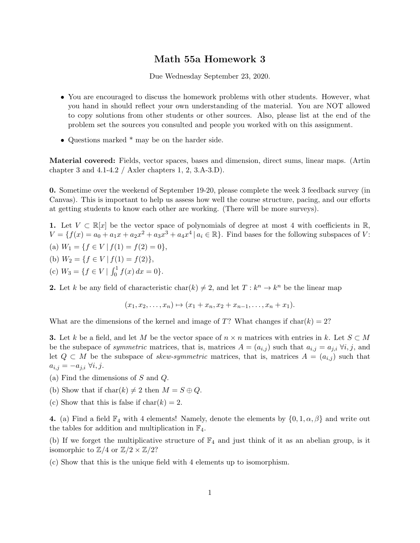## Math 55a Homework 3

Due Wednesday September 23, 2020.

- You are encouraged to discuss the homework problems with other students. However, what you hand in should reflect your own understanding of the material. You are NOT allowed to copy solutions from other students or other sources. Also, please list at the end of the problem set the sources you consulted and people you worked with on this assignment.
- Questions marked \* may be on the harder side.

Material covered: Fields, vector spaces, bases and dimension, direct sums, linear maps. (Artin chapter 3 and  $4.1-4.2$  / Axler chapters 1, 2, 3.A-3.D).

0. Sometime over the weekend of September 19-20, please complete the week 3 feedback survey (in Canvas). This is important to help us assess how well the course structure, pacing, and our efforts at getting students to know each other are working. (There will be more surveys).

1. Let  $V \subset \mathbb{R}[x]$  be the vector space of polynomials of degree at most 4 with coefficients in  $\mathbb{R}$ ,  $V = \{f(x) = a_0 + a_1x + a_2x^2 + a_3x^3 + a_4x^4 | a_i \in \mathbb{R}\}.$  Find bases for the following subspaces of V: (a)  $W_1 = \{f \in V \mid f(1) = f(2) = 0\},\$ (b)  $W_2 = \{f \in V \mid f(1) = f(2)\},\$ (c)  $W_3 = \{ f \in V \mid \int_0^1 f(x) dx = 0 \}.$ 

**2.** Let k be any field of characteristic char(k)  $\neq 2$ , and let  $T : k^n \to k^n$  be the linear map

$$
(x_1, x_2, \ldots, x_n) \mapsto (x_1 + x_n, x_2 + x_{n-1}, \ldots, x_n + x_1).
$$

What are the dimensions of the kernel and image of T? What changes if  $char(k) = 2$ ?

**3.** Let k be a field, and let M be the vector space of  $n \times n$  matrices with entries in k. Let  $S \subset M$ be the subspace of *symmetric* matrices, that is, matrices  $A = (a_{i,j})$  such that  $a_{i,j} = a_{j,i} \ \forall i, j$ , and let  $Q \subset M$  be the subspace of *skew-symmetric* matrices, that is, matrices  $A = (a_{i,j})$  such that  $a_{i,j} = -a_{j,i} \ \forall i,j.$ 

- (a) Find the dimensions of S and Q.
- (b) Show that if  $char(k) \neq 2$  then  $M = S \oplus Q$ .
- (c) Show that this is false if  $char(k) = 2$ .

4. (a) Find a field  $\mathbb{F}_4$  with 4 elements! Namely, denote the elements by  $\{0, 1, \alpha, \beta\}$  and write out the tables for addition and multiplication in  $\mathbb{F}_4$ .

(b) If we forget the multiplicative structure of  $\mathbb{F}_4$  and just think of it as an abelian group, is it isomorphic to  $\mathbb{Z}/4$  or  $\mathbb{Z}/2 \times \mathbb{Z}/2$ ?

(c) Show that this is the unique field with 4 elements up to isomorphism.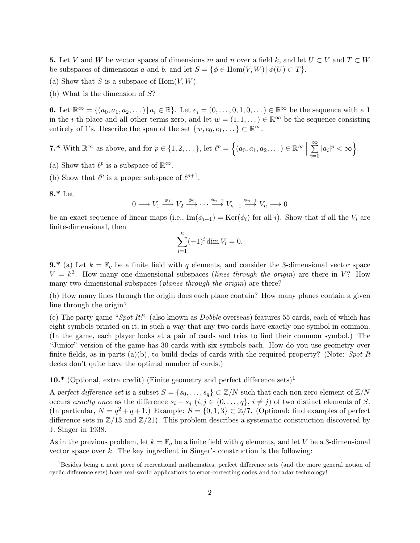5. Let V and W be vector spaces of dimensions m and n over a field k, and let  $U \subset V$  and  $T \subset W$ be subspaces of dimensions a and b, and let  $S = \{ \phi \in \text{Hom}(V, W) \mid \phi(U) \subset T \}.$ 

- (a) Show that S is a subspace of  $Hom(V, W)$ .
- (b) What is the dimension of  $S$ ?

6. Let  $\mathbb{R}^{\infty} = \{(a_0, a_1, a_2, \dots) \mid a_i \in \mathbb{R}\}$ . Let  $e_i = (0, \dots, 0, 1, 0, \dots) \in \mathbb{R}^{\infty}$  be the sequence with a 1 in the *i*-th place and all other terms zero, and let  $w = (1, 1, ...) \in \mathbb{R}^{\infty}$  be the sequence consisting entirely of 1's. Describe the span of the set  $\{w, e_0, e_1, \dots\} \subset \mathbb{R}^{\infty}$ .

**7.\*** With  $\mathbb{R}^{\infty}$  as above, and for  $p \in \{1, 2, \dots\}$ , let  $\ell^p = \{(a_0, a_1, a_2, \dots) \in \mathbb{R}^{\infty} \mid \ell^p \in \ell^p\}$  $\sum^{\infty}$  $i=0$  $|a_i|^p < \infty$ .

- (a) Show that  $\ell^p$  is a subspace of  $\mathbb{R}^\infty$ .
- (b) Show that  $\ell^p$  is a proper subspace of  $\ell^{p+1}$ .

$$
8.^*\,\mathrm{Let}
$$

$$
0 \longrightarrow V_1 \xrightarrow{\phi_1} V_2 \xrightarrow{\phi_2} \cdots \xrightarrow{\phi_{n-2}} V_{n-1} \xrightarrow{\phi_{n-1}} V_n \longrightarrow 0
$$

be an exact sequence of linear maps (i.e.,  $\text{Im}(\phi_{i-1}) = \text{Ker}(\phi_i)$  for all i). Show that if all the  $V_i$  are finite-dimensional, then

$$
\sum_{i=1}^{n} (-1)^{i} \dim V_{i} = 0.
$$

**9.\*** (a) Let  $k = \mathbb{F}_q$  be a finite field with q elements, and consider the 3-dimensional vector space  $V = k^3$ . How many one-dimensional subspaces (lines through the origin) are there in V? How many two-dimensional subspaces (*planes through the origin*) are there?

(b) How many lines through the origin does each plane contain? How many planes contain a given line through the origin?

(c) The party game "Spot It!" (also known as *Dobble* overseas) features 55 cards, each of which has eight symbols printed on it, in such a way that any two cards have exactly one symbol in common. (In the game, each player looks at a pair of cards and tries to find their common symbol.) The "Junior" version of the game has 30 cards with six symbols each. How do you use geometry over finite fields, as in parts (a)(b), to build decks of cards with the required property? (Note: Spot It decks don't quite have the optimal number of cards.)

10.\* (Optional, extra credit) (Finite geometry and perfect difference sets)<sup>1</sup>

A perfect difference set is a subset  $S = \{s_0, \ldots, s_q\} \subset \mathbb{Z}/N$  such that each non-zero element of  $\mathbb{Z}/N$ occurs exactly once as the difference  $s_i - s_j$   $(i, j \in \{0, ..., q\}, i \neq j)$  of two distinct elements of S. (In particular,  $N = q^2 + q + 1$ .) Example:  $S = \{0, 1, 3\} \subset \mathbb{Z}/7$ . (Optional: find examples of perfect difference sets in  $\mathbb{Z}/13$  and  $\mathbb{Z}/21$ . This problem describes a systematic construction discovered by J. Singer in 1938.

As in the previous problem, let  $k = \mathbb{F}_q$  be a finite field with q elements, and let V be a 3-dimensional vector space over  $k$ . The key ingredient in Singer's construction is the following:

<sup>&</sup>lt;sup>1</sup>Besides being a neat piece of recreational mathematics, perfect difference sets (and the more general notion of cyclic difference sets) have real-world applications to error-correcting codes and to radar technology!